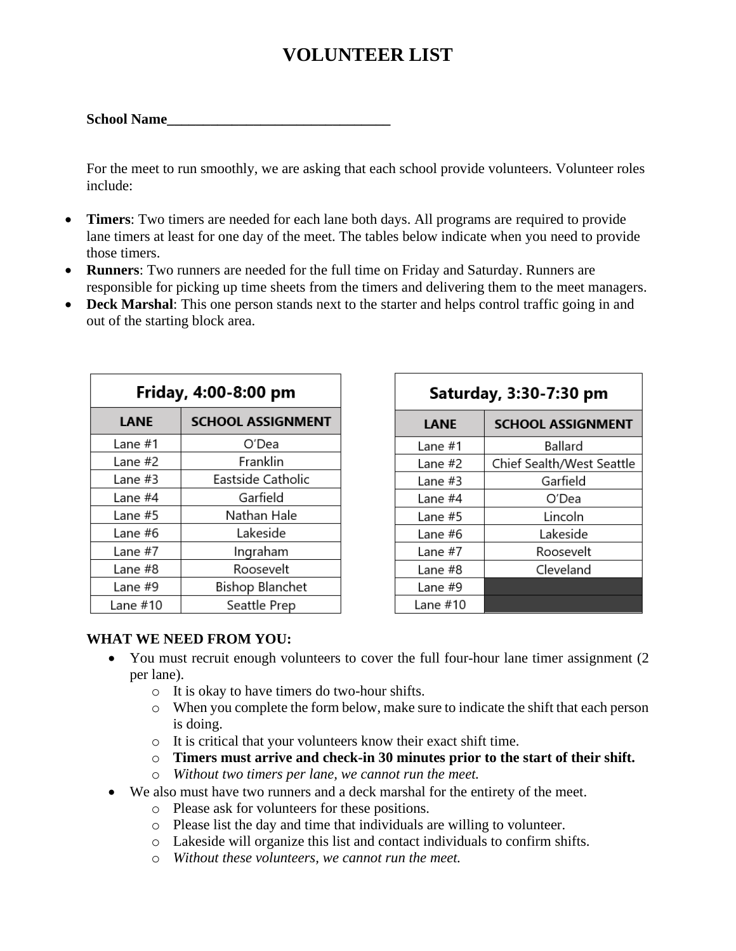## **VOLUNTEER LIST**

**School Name\_\_\_\_\_\_\_\_\_\_\_\_\_\_\_\_\_\_\_\_\_\_\_\_\_\_\_\_\_\_\_**

For the meet to run smoothly, we are asking that each school provide volunteers. Volunteer roles include:

- **Timers**: Two timers are needed for each lane both days. All programs are required to provide lane timers at least for one day of the meet. The tables below indicate when you need to provide those timers.
- **Runners**: Two runners are needed for the full time on Friday and Saturday. Runners are responsible for picking up time sheets from the timers and delivering them to the meet managers.
- **Deck Marshal**: This one person stands next to the starter and helps control traffic going in and out of the starting block area.

| Friday, 4:00-8:00 pm |                          |  |  |  |
|----------------------|--------------------------|--|--|--|
| <b>LANE</b>          | <b>SCHOOL ASSIGNMENT</b> |  |  |  |
| Lane #1              | O'Dea                    |  |  |  |
| Lane #2              | Franklin                 |  |  |  |
| Lane $#3$            | Eastside Catholic        |  |  |  |
| Lane #4              | Garfield                 |  |  |  |
| Lane #5              | Nathan Hale              |  |  |  |
| Lane #6              | Lakeside                 |  |  |  |
| Lane #7              | Ingraham                 |  |  |  |
| Lane #8              | Roosevelt                |  |  |  |
| Lane #9              | Bishop Blanchet          |  |  |  |
| Lane #10             | Seattle Prep             |  |  |  |

| Saturday, 3:30-7:30 pm |                           |  |  |  |
|------------------------|---------------------------|--|--|--|
| LANE                   | <b>SCHOOL ASSIGNMENT</b>  |  |  |  |
| Lane #1                | Ballard                   |  |  |  |
| Lane #2                | Chief Sealth/West Seattle |  |  |  |
| Lane #3                | Garfield                  |  |  |  |
| Lane #4                | O'Dea                     |  |  |  |
| Lane #5                | Lincoln                   |  |  |  |
| Lane #6                | Lakeside                  |  |  |  |
| Lane #7                | Roosevelt                 |  |  |  |
| Lane #8                | Cleveland                 |  |  |  |
| Lane #9                |                           |  |  |  |
| Lane $#10$             |                           |  |  |  |

## **WHAT WE NEED FROM YOU:**

- You must recruit enough volunteers to cover the full four-hour lane timer assignment (2) per lane).
	- o It is okay to have timers do two-hour shifts.
	- o When you complete the form below, make sure to indicate the shift that each person is doing.
	- o It is critical that your volunteers know their exact shift time.
	- o **Timers must arrive and check-in 30 minutes prior to the start of their shift.**
	- o *Without two timers per lane, we cannot run the meet.*
- We also must have two runners and a deck marshal for the entirety of the meet.
	- o Please ask for volunteers for these positions.
	- o Please list the day and time that individuals are willing to volunteer.
	- o Lakeside will organize this list and contact individuals to confirm shifts.
	- o *Without these volunteers, we cannot run the meet.*